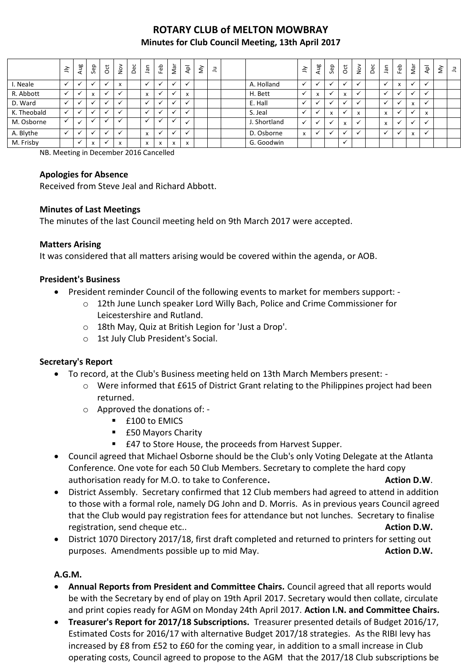# **ROTARY CLUB of MELTON MOWBRAY Minutes for Club Council Meeting, 13th April 2017**

|             | $\leq$       | Aug | Sep                                    | $\overline{5}$       | $\sum_{N=1}^{\infty}$                | Dec | nal                           | Feb         | Νāτ                       | $\overline{A}$ | $\check{\simeq}$ | ᆿ |              | $\tilde{=}$  | Aug                      | Sep | <b>ott</b> | $\frac{5}{2}$ | Dec | <b>Jan</b>   | Feb                       | Nar          | $\overline{\mathsf{A}}$ | š | $\exists$ |
|-------------|--------------|-----|----------------------------------------|----------------------|--------------------------------------|-----|-------------------------------|-------------|---------------------------|----------------|------------------|---|--------------|--------------|--------------------------|-----|------------|---------------|-----|--------------|---------------------------|--------------|-------------------------|---|-----------|
| I. Neale    |              |     |                                        | $\checkmark$         | $\overline{\mathbf{z}}$<br>$\lambda$ |     |                               |             |                           |                |                  |   | A. Holland   |              |                          |     |            |               |     |              | $\mathbf{v}$<br>$\lambda$ |              |                         |   |           |
| R. Abbott   | $\checkmark$ |     | $\mathbf{v}$<br>$\boldsymbol{\lambda}$ | $\checkmark$         |                                      |     | $\overline{\phantom{a}}$      | $\check{ }$ |                           | x              |                  |   | H. Bett      |              | X                        |     | x          |               |     | $\checkmark$ |                           | $\checkmark$ | $\cdot$                 |   |           |
| D. Ward     |              |     |                                        | $\checkmark$         |                                      |     |                               |             |                           |                |                  |   | E. Hall      |              |                          |     |            |               |     | $\checkmark$ |                           | x            | $\mathbf{v}$            |   |           |
| K. Theobald |              |     |                                        | $\ddot{\phantom{0}}$ |                                      |     |                               |             |                           |                |                  |   | S. Jeal      |              |                          | X   |            | X             |     | $\mathsf{x}$ |                           |              | X                       |   |           |
| M. Osborne  |              |     |                                        | $\cdot$              |                                      |     |                               |             |                           |                |                  |   | J. Shortland | $\checkmark$ | $\overline{\phantom{a}}$ |     | X          | √             |     | x            | v                         | $\checkmark$ | $\ddot{\phantom{0}}$    |   |           |
| A. Blythe   |              |     |                                        | $\checkmark$         |                                      |     | $\overline{\phantom{a}}$      |             |                           |                |                  |   | D. Osborne   | x            |                          |     |            |               |     |              |                           | $\mathsf{x}$ | $\checkmark$            |   |           |
| M. Frisby   |              |     | X                                      | $\checkmark$         | $\mathbf{v}$<br>$\lambda$            |     | $\overline{\phantom{a}}$<br>ж | X           | $\boldsymbol{\mathsf{x}}$ | x              |                  |   | G. Goodwin   |              |                          |     |            |               |     |              |                           |              |                         |   |           |

NB. Meeting in December 2016 Cancelled

#### **Apologies for Absence**

Received from Steve Jeal and Richard Abbott.

#### **Minutes of Last Meetings**

The minutes of the last Council meeting held on 9th March 2017 were accepted.

#### **Matters Arising**

It was considered that all matters arising would be covered within the agenda, or AOB.

#### **President's Business**

- President reminder Council of the following events to market for members support:
	- o 12th June Lunch speaker Lord Willy Bach, Police and Crime Commissioner for Leicestershire and Rutland.
	- o 18th May, Quiz at British Legion for 'Just a Drop'.
	- o 1st July Club President's Social.

#### **Secretary's Report**

- To record, at the Club's Business meeting held on 13th March Members present:
	- o Were informed that £615 of District Grant relating to the Philippines project had been returned.
	- o Approved the donations of:
		- **Example 100 to EMICS**
		- £50 Mayors Charity
		- £47 to Store House, the proceeds from Harvest Supper.
- Council agreed that Michael Osborne should be the Club's only Voting Delegate at the Atlanta Conference. One vote for each 50 Club Members. Secretary to complete the hard copy authorisation ready for M.O. to take to Conference. **Action D.W. Action D.W.**
- District Assembly. Secretary confirmed that 12 Club members had agreed to attend in addition to those with a formal role, namely DG John and D. Morris. As in previous years Council agreed that the Club would pay registration fees for attendance but not lunches. Secretary to finalise registration, send cheque etc.. **Action D.W. Action D.W. Action D.W.**
- District 1070 Directory 2017/18, first draft completed and returned to printers for setting out purposes. Amendments possible up to mid May. **Action D.W.**

### **A.G.M.**

- **Annual Reports from President and Committee Chairs.** Council agreed that all reports would be with the Secretary by end of play on 19th April 2017. Secretary would then collate, circulate and print copies ready for AGM on Monday 24th April 2017. **Action I.N. and Committee Chairs.**
- **Treasurer's Report for 2017/18 Subscriptions.** Treasurer presented details of Budget 2016/17, Estimated Costs for 2016/17 with alternative Budget 2017/18 strategies. As the RIBI levy has increased by £8 from £52 to £60 for the coming year, in addition to a small increase in Club operating costs, Council agreed to propose to the AGM that the 2017/18 Club subscriptions be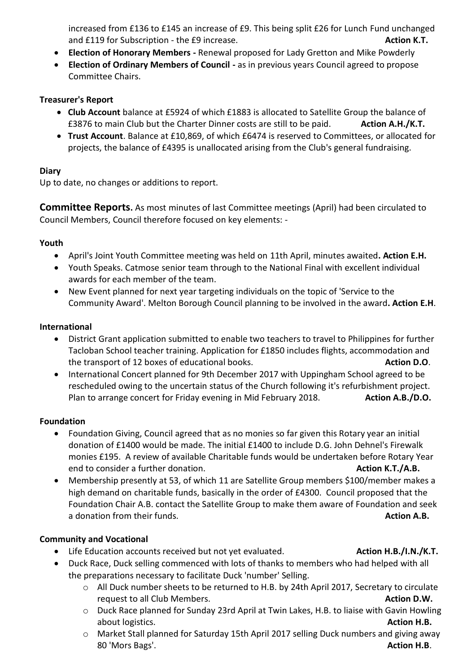increased from £136 to £145 an increase of £9. This being split £26 for Lunch Fund unchanged and £119 for Subscription - the £9 increase. **Action K.T. Action K.T. Action K.T.** 

- **Election of Honorary Members -** Renewal proposed for Lady Gretton and Mike Powderly
- **Election of Ordinary Members of Council -** as in previous years Council agreed to propose Committee Chairs.

## **Treasurer's Report**

- **Club Account** balance at £5924 of which £1883 is allocated to Satellite Group the balance of £3876 to main Club but the Charter Dinner costs are still to be paid. **Action A.H./K.T.**
- **Trust Account**. Balance at £10,869, of which £6474 is reserved to Committees, or allocated for projects, the balance of £4395 is unallocated arising from the Club's general fundraising.

# **Diary**

Up to date, no changes or additions to report.

**Committee Reports.** As most minutes of last Committee meetings (April) had been circulated to Council Members, Council therefore focused on key elements: -

## **Youth**

- April's Joint Youth Committee meeting was held on 11th April, minutes awaited**. Action E.H.**
- Youth Speaks. Catmose senior team through to the National Final with excellent individual awards for each member of the team.
- New Event planned for next year targeting individuals on the topic of 'Service to the Community Award'. Melton Borough Council planning to be involved in the award**. Action E.H**.

## **International**

- District Grant application submitted to enable two teachers to travel to Philippines for further Tacloban School teacher training. Application for £1850 includes flights, accommodation and the transport of 12 boxes of educational books. **Action D.O**.
- International Concert planned for 9th December 2017 with Uppingham School agreed to be rescheduled owing to the uncertain status of the Church following it's refurbishment project. Plan to arrange concert for Friday evening in Mid February 2018. **Action A.B./D.O.**

## **Foundation**

- Foundation Giving, Council agreed that as no monies so far given this Rotary year an initial donation of £1400 would be made. The initial £1400 to include D.G. John Dehnel's Firewalk monies £195. A review of available Charitable funds would be undertaken before Rotary Year end to consider a further donation. **Action K.T./A.B. Action K.T./A.B.**
- Membership presently at 53, of which 11 are Satellite Group members \$100/member makes a high demand on charitable funds, basically in the order of £4300. Council proposed that the Foundation Chair A.B. contact the Satellite Group to make them aware of Foundation and seek a donation from their funds. **Action A.B.**

## **Community and Vocational**

- Life Education accounts received but not yet evaluated. **Action H.B./I.N./K.T. Action H.B./I.N./K.T.**
- Duck Race, Duck selling commenced with lots of thanks to members who had helped with all the preparations necessary to facilitate Duck 'number' Selling.
	- o All Duck number sheets to be returned to H.B. by 24th April 2017, Secretary to circulate request to all Club Members. **Action D.W. Action D.W. Action D.W.**
	- o Duck Race planned for Sunday 23rd April at Twin Lakes, H.B. to liaise with Gavin Howling about logistics. **Action H.B.**
	- o Market Stall planned for Saturday 15th April 2017 selling Duck numbers and giving away 80 'Mors Bags'. **Action H.B**.